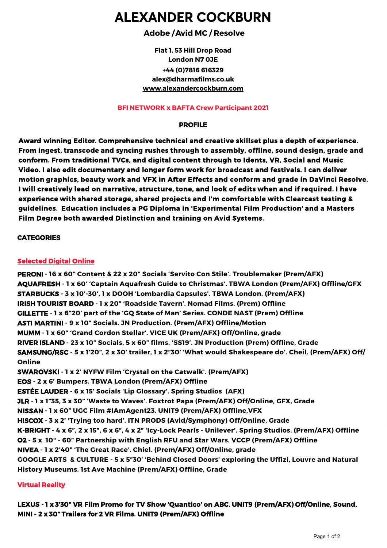# **ALEXANDER COCKBURN**

# **Adobe / Avid MC / Resolve**

**Flat 1, 53 Hill Drop Road London N7 0JE +44 (0)7816 616329 a[lex@dharmafilms.co](mailto:alex@dharmafilms.co.uk).uk www.alexandercockburn.co[m](http://www.alexandercockburn.com)**

#### **BFI NETWORK x BAFTA Crew Participant 2021**

# **PROFILE**

**Award winning Editor. Comprehensive technical and creative skillset plus a depth of experience. From ingest, transcode and syncing rushes through to assembly, offline, sound design, grade and conform. From traditional TVCs, and digital content through to Idents, VR, Social and Music Video. I also edit documentary and longer form work for broadcast and festivals. I can deliver motion graphics, beauty work and VFX in After Effects and conform and grade in DaVinci Resolve. I will creatively lead on narrative, structure, tone, and look of edits when and if required. I have experience with shared storage, shared projects and I'm comfortable with Clearcast testing & guidelines. Education includes a PG Diploma in 'Experimental Film Production' and a Masters Film Degree both awarded Distinction and training on Avid Systems.**

## **CATEGORIES**

## **Selected Digital Online**

**PERONI - 16 x 60" Content & 22 x 20" Socials 'Servito Con Stile'. Troublemaker (Prem/AFX) AQUAFRESH - 1 x 60' 'Captain Aquafresh Guide to Christmas'. TBWA London (Prem/AFX) Offline/GFX STARBUCKS - 3 x 10'-30', 1 x DOOH 'Lombardia Capsules'. TBWA London. (Prem/AFX) IRISH TOURIST BOARD - 1 x 20" 'Roadside Tavern'. Nomad Films. (Prem) Offline GILLETTE - 1 x 6"20' part of the 'GQ State of Man' Series. CONDE NAST (Prem) Offline ASTI MARTINI - 9 x 10" Socials. JN Production. (Prem/AFX) Offline/Motion MUMM - 1 x 60" 'Grand Cordon Stellar'. VICE UK (Prem/AFX) Off/Online, grade RIVER ISLAND - 23 x 10" Socials, 5 x 60" films, 'SS19'. JN Production (Prem) Offline, Grade SAMSUNG/RSC - 5 x 1'20", 2 x 30' trailer, 1 x 2"30' 'What would Shakespeare do'. Cheil. (Prem/AFX) Off/ Online SWAROVSKI - 1 x 2' NYFW Film 'Crystal on the Catwalk'. (Prem/AFX) EOS - 2 x 6' Bumpers. TBWA London (Prem/AFX) Offline ESTÉE LAUDER - 6 x 15' Socials 'Lip Glossary'. Spring Studios (AFX) JLR - 1 x 1"35, 3 x 30" 'Waste to Waves'. Foxtrot Papa (Prem/AFX) Off/Online, GFX, Grade NISSAN - 1 x 60" UGC Film #IAmAgent23. UNIT9 (Prem/AFX) Offline,VFX HISCOX - 3 x 2' 'Trying too hard'. ITN PRODS (Avid/Symphony) Off/Online, Grade K-BRIGHT - 4 x 6", 2 x 15", 6 x 6", 4 x 2" 'Icy-Lock Pearls - Unilever'. Spring Studios. (Prem/AFX) Offline O2 - 5 x 10" - 60" Partnership with English RFU and Star Wars. VCCP (Prem/AFX) Offline NIVEA - 1 x 2'40" 'The Great Race'. Chiel. (Prem/AFX) Off/Online, grade GOOGLE ARTS & CULTURE - 5 x 5"30' 'Behind Closed Doors' exploring the Uffizi, Louvre and Natural History Museums. 1st Ave Machine (Prem/AFX) Offline, Grade**

## **Virtual Reality**

**LEXUS - 1 x 3'30" VR Film Promo for TV Show 'Quantico' on ABC. UNIT9 (Prem/AFX) Off/Online, Sound, MINI - 2 x 30" Trailers for 2 VR Films. UNIT9 (Prem/AFX) Offline**